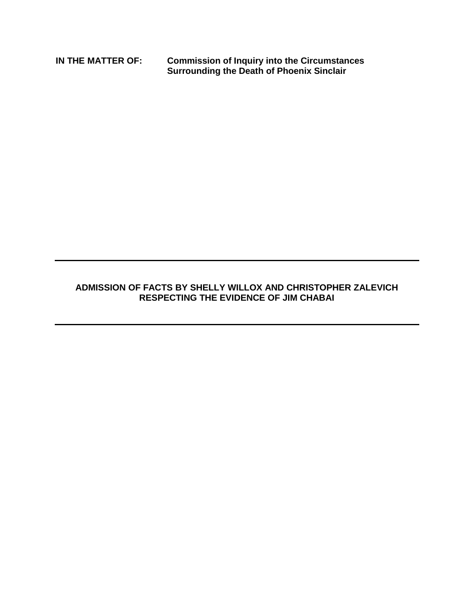**IN THE MATTER OF: Commission of Inquiry into the Circumstances Surrounding the Death of Phoenix Sinclair**

## **ADMISSION OF FACTS BY SHELLY WILLOX AND CHRISTOPHER ZALEVICH RESPECTING THE EVIDENCE OF JIM CHABAI**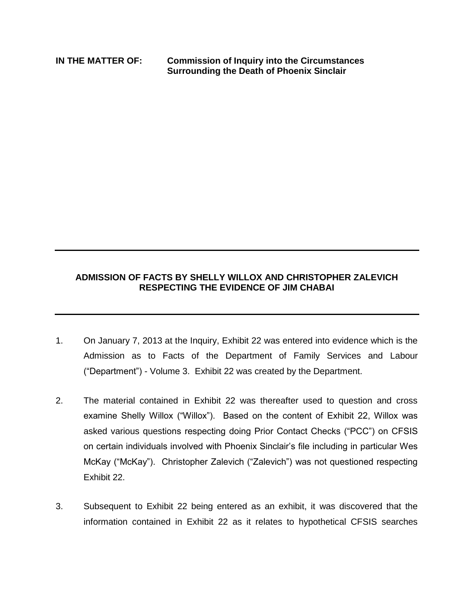**IN THE MATTER OF: Commission of Inquiry into the Circumstances Surrounding the Death of Phoenix Sinclair**

## **ADMISSION OF FACTS BY SHELLY WILLOX AND CHRISTOPHER ZALEVICH RESPECTING THE EVIDENCE OF JIM CHABAI**

- 1. On January 7, 2013 at the Inquiry, Exhibit 22 was entered into evidence which is the Admission as to Facts of the Department of Family Services and Labour ("Department") - Volume 3. Exhibit 22 was created by the Department.
- 2. The material contained in Exhibit 22 was thereafter used to question and cross examine Shelly Willox ("Willox"). Based on the content of Exhibit 22, Willox was asked various questions respecting doing Prior Contact Checks ("PCC") on CFSIS on certain individuals involved with Phoenix Sinclair's file including in particular Wes McKay ("McKay"). Christopher Zalevich ("Zalevich") was not questioned respecting Exhibit 22.
- 3. Subsequent to Exhibit 22 being entered as an exhibit, it was discovered that the information contained in Exhibit 22 as it relates to hypothetical CFSIS searches